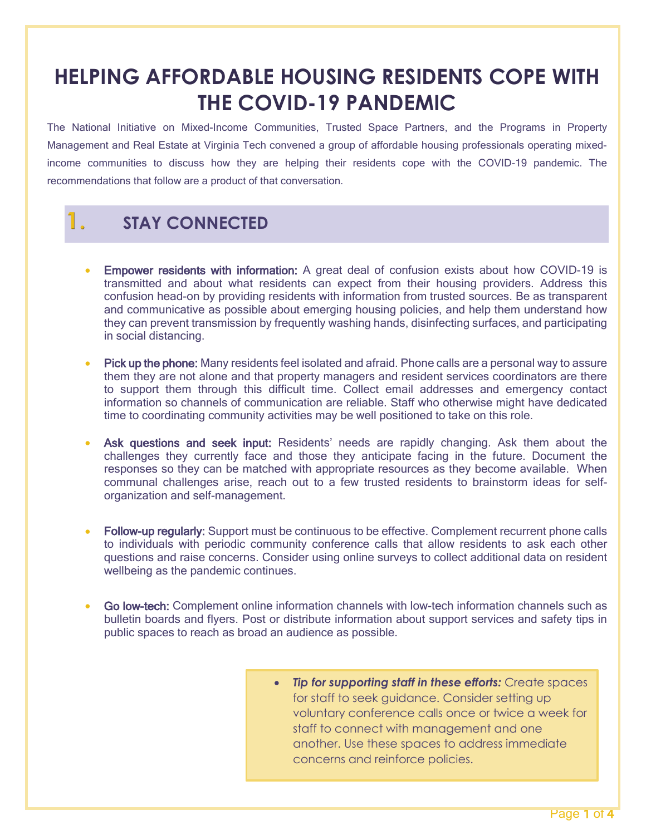## **HELPING AFFORDABLE HOUSING RESIDENTS COPE WITH THE COVID-19 PANDEMIC**

The National Initiative on Mixed-Income Communities, Trusted Space Partners, and the Programs in Property Management and Real Estate at Virginia Tech convened a group of affordable housing professionals operating mixedincome communities to discuss how they are helping their residents cope with the COVID-19 pandemic. The recommendations that follow are a product of that conversation.

## **1. STAY CONNECTED**

- Empower residents with information: A great deal of confusion exists about how COVID-19 is transmitted and about what residents can expect from their housing providers. Address this confusion head-on by providing residents with information from trusted sources. Be as transparent and communicative as possible about emerging housing policies, and help them understand how they can prevent transmission by frequently washing hands, disinfecting surfaces, and participating in social distancing.
- Pick up the phone: Many residents feel isolated and afraid. Phone calls are a personal way to assure them they are not alone and that property managers and resident services coordinators are there to support them through this difficult time. Collect email addresses and emergency contact information so channels of communication are reliable. Staff who otherwise might have dedicated time to coordinating community activities may be well positioned to take on this role.
- Ask questions and seek input: Residents' needs are rapidly changing. Ask them about the challenges they currently face and those they anticipate facing in the future. Document the responses so they can be matched with appropriate resources as they become available. When communal challenges arise, reach out to a few trusted residents to brainstorm ideas for selforganization and self-management.
- Follow-up regularly: Support must be continuous to be effective. Complement recurrent phone calls to individuals with periodic community conference calls that allow residents to ask each other questions and raise concerns. Consider using online surveys to collect additional data on resident wellbeing as the pandemic continues.
- Go low-tech: Complement online information channels with low-tech information channels such as bulletin boards and flyers. Post or distribute information about support services and safety tips in public spaces to reach as broad an audience as possible.
	- *Tip for supporting staff in these efforts:* Create spaces for staff to seek guidance. Consider setting up voluntary conference calls once or twice a week for staff to connect with management and one another. Use these spaces to address immediate concerns and reinforce policies.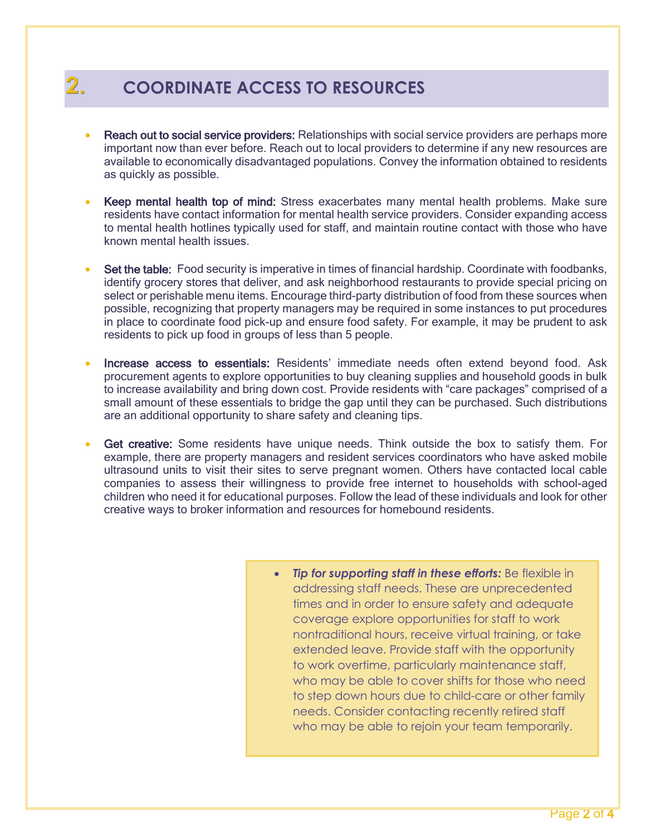## **2. COORDINATE ACCESS TO RESOURCES**

- Reach out to social service providers: Relationships with social service providers are perhaps more important now than ever before. Reach out to local providers to determine if any new resources are available to economically disadvantaged populations. Convey the information obtained to residents as quickly as possible.
- Keep mental health top of mind: Stress exacerbates many mental health problems. Make sure residents have contact information for mental health service providers. Consider expanding access to mental health hotlines typically used for staff, and maintain routine contact with those who have known mental health issues.
- Set the table: Food security is imperative in times of financial hardship. Coordinate with foodbanks, identify grocery stores that deliver, and ask neighborhood restaurants to provide special pricing on select or perishable menu items. Encourage third-party distribution of food from these sources when possible, recognizing that property managers may be required in some instances to put procedures in place to coordinate food pick-up and ensure food safety. For example, it may be prudent to ask residents to pick up food in groups of less than 5 people.
- Increase access to essentials: Residents' immediate needs often extend beyond food. Ask procurement agents to explore opportunities to buy cleaning supplies and household goods in bulk to increase availability and bring down cost. Provide residents with "care packages" comprised of a small amount of these essentials to bridge the gap until they can be purchased. Such distributions are an additional opportunity to share safety and cleaning tips.
- Get creative: Some residents have unique needs. Think outside the box to satisfy them. For example, there are property managers and resident services coordinators who have asked mobile ultrasound units to visit their sites to serve pregnant women. Others have contacted local cable companies to assess their willingness to provide free internet to households with school-aged children who need it for educational purposes. Follow the lead of these individuals and look for other creative ways to broker information and resources for homebound residents.
	- *Tip for supporting staff in these efforts:* Be flexible in addressing staff needs. These are unprecedented times and in order to ensure safety and adequate coverage explore opportunities for staff to work nontraditional hours, receive virtual training, or take extended leave. Provide staff with the opportunity to work overtime, particularly maintenance staff, who may be able to cover shifts for those who need to step down hours due to child-care or other family needs. Consider contacting recently retired staff who may be able to rejoin your team temporarily.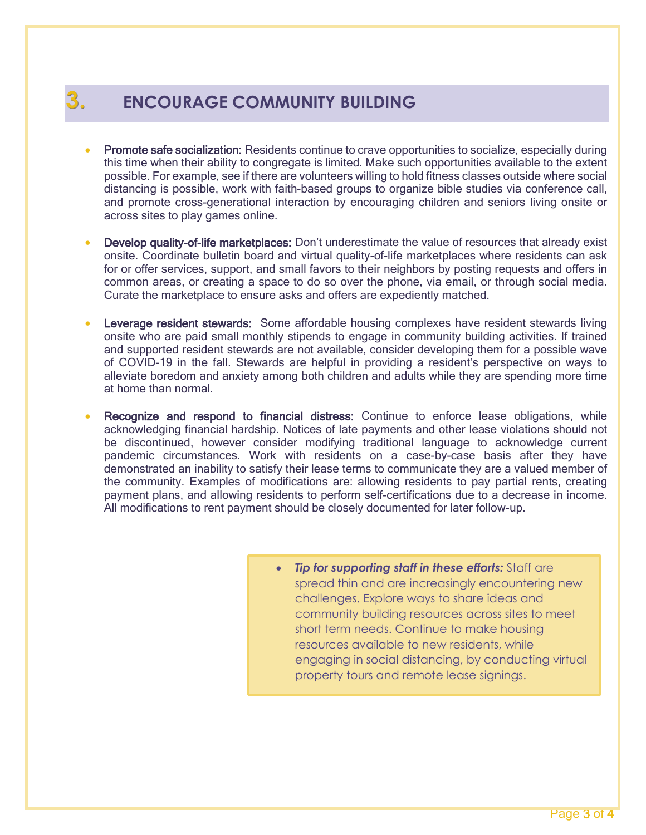## **3. ENCOURAGE COMMUNITY BUILDING**

- Promote safe socialization: Residents continue to crave opportunities to socialize, especially during this time when their ability to congregate is limited. Make such opportunities available to the extent possible. For example, see if there are volunteers willing to hold fitness classes outside where social distancing is possible, work with faith-based groups to organize bible studies via conference call, and promote cross-generational interaction by encouraging children and seniors living onsite or across sites to play games online.
- Develop quality-of-life marketplaces: Don't underestimate the value of resources that already exist onsite. Coordinate bulletin board and virtual quality-of-life marketplaces where residents can ask for or offer services, support, and small favors to their neighbors by posting requests and offers in common areas, or creating a space to do so over the phone, via email, or through social media. Curate the marketplace to ensure asks and offers are expediently matched.
- **Leverage resident stewards:** Some affordable housing complexes have resident stewards living onsite who are paid small monthly stipends to engage in community building activities. If trained and supported resident stewards are not available, consider developing them for a possible wave of COVID-19 in the fall. Stewards are helpful in providing a resident's perspective on ways to alleviate boredom and anxiety among both children and adults while they are spending more time at home than normal.
- Recognize and respond to financial distress: Continue to enforce lease obligations, while acknowledging financial hardship. Notices of late payments and other lease violations should not be discontinued, however consider modifying traditional language to acknowledge current pandemic circumstances. Work with residents on a case-by-case basis after they have demonstrated an inability to satisfy their lease terms to communicate they are a valued member of the community. Examples of modifications are: allowing residents to pay partial rents, creating payment plans, and allowing residents to perform self-certifications due to a decrease in income. All modifications to rent payment should be closely documented for later follow-up.
	- *Tip for supporting staff in these efforts:* Staff are spread thin and are increasingly encountering new challenges. Explore ways to share ideas and community building resources across sites to meet short term needs. Continue to make housing resources available to new residents, while engaging in social distancing, by conducting virtual property tours and remote lease signings.